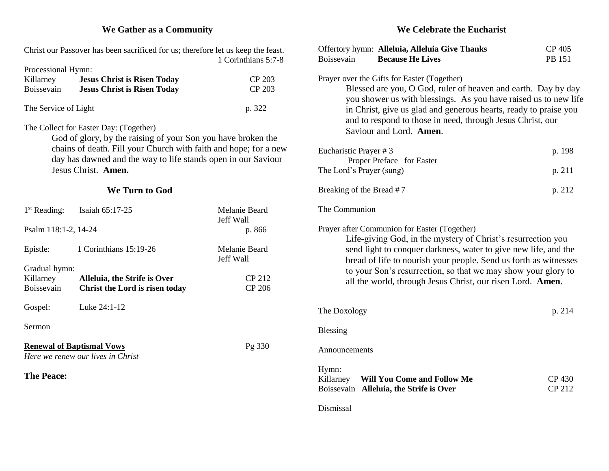## **We Gather as a Community**

| Christ our Passover has been sacrificed for us; therefore let us keep the feast.<br>1 Corinthians 5:7-8                           |                                                                                                        |                                                                                                              | Offertory hymn: Alleluia, Alleluia Give Thanks<br>Boissevain<br><b>Because He Lives</b>                                                                                                           | CP 405<br>PB 151 |
|-----------------------------------------------------------------------------------------------------------------------------------|--------------------------------------------------------------------------------------------------------|--------------------------------------------------------------------------------------------------------------|---------------------------------------------------------------------------------------------------------------------------------------------------------------------------------------------------|------------------|
| Processional Hymn:                                                                                                                |                                                                                                        |                                                                                                              |                                                                                                                                                                                                   |                  |
| Killarney<br>Boissevain                                                                                                           | <b>Jesus Christ is Risen Today</b><br><b>Jesus Christ is Risen Today</b>                               | CP 203<br>CP 203                                                                                             | Prayer over the Gifts for Easter (Together)<br>Blessed are you, O God, ruler of heaven and earth. Day by day                                                                                      |                  |
| The Service of Light<br>p. 322                                                                                                    |                                                                                                        |                                                                                                              | you shower us with blessings. As you have raised us to new life<br>in Christ, give us glad and generous hearts, ready to praise you<br>and to respond to those in need, through Jesus Christ, our |                  |
|                                                                                                                                   | The Collect for Easter Day: (Together)<br>God of glory, by the raising of your Son you have broken the |                                                                                                              | Saviour and Lord. Amen.                                                                                                                                                                           |                  |
| chains of death. Fill your Church with faith and hope; for a new<br>day has dawned and the way to life stands open in our Saviour |                                                                                                        |                                                                                                              | Eucharistic Prayer # 3<br>Proper Preface for Easter                                                                                                                                               | p. 198           |
| Jesus Christ. Amen.                                                                                                               |                                                                                                        |                                                                                                              | The Lord's Prayer (sung)                                                                                                                                                                          | p. 211           |
| We Turn to God                                                                                                                    |                                                                                                        |                                                                                                              | Breaking of the Bread #7                                                                                                                                                                          | p. 212           |
| $1st$ Reading:                                                                                                                    | Isaiah 65:17-25                                                                                        | Melanie Beard<br>Jeff Wall                                                                                   | The Communion                                                                                                                                                                                     |                  |
| Psalm 118:1-2, 14-24<br>p. 866                                                                                                    |                                                                                                        | Prayer after Communion for Easter (Together)<br>Life-giving God, in the mystery of Christ's resurrection you |                                                                                                                                                                                                   |                  |
| Epistle:                                                                                                                          | 1 Corinthians 15:19-26                                                                                 | Melanie Beard<br>Jeff Wall                                                                                   | send light to conquer darkness, water to give new life, and the<br>bread of life to nourish your people. Send us forth as witnesses                                                               |                  |
| Gradual hymn:                                                                                                                     |                                                                                                        | to your Son's resurrection, so that we may show your glory to                                                |                                                                                                                                                                                                   |                  |
| Killarney<br>Boissevain                                                                                                           | Alleluia, the Strife is Over<br>Christ the Lord is risen today                                         | CP 212<br><b>CP 206</b>                                                                                      | all the world, through Jesus Christ, our risen Lord. Amen.                                                                                                                                        |                  |
| Gospel:                                                                                                                           | Luke 24:1-12                                                                                           |                                                                                                              | The Doxology                                                                                                                                                                                      | p. 214           |
| Sermon                                                                                                                            |                                                                                                        | <b>Blessing</b>                                                                                              |                                                                                                                                                                                                   |                  |
| <b>Renewal of Baptismal Vows</b><br>Pg 330<br>Here we renew our lives in Christ                                                   |                                                                                                        | Announcements                                                                                                |                                                                                                                                                                                                   |                  |
| <b>The Peace:</b>                                                                                                                 |                                                                                                        | Hymn:<br>Will You Come and Follow Me<br>Killarney<br>Boissevain Alleluia, the Strife is Over                 | CP 430<br>CP 212                                                                                                                                                                                  |                  |
|                                                                                                                                   |                                                                                                        |                                                                                                              | Dismissal                                                                                                                                                                                         |                  |

#### **We Celebrate the Eucharist**